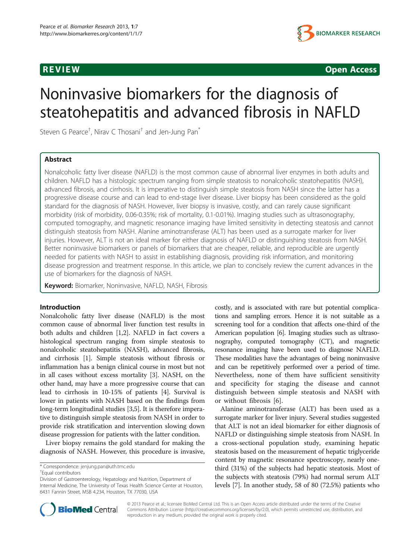

**REVIEW REVIEW CONSTRUCTER ACCESS** 

# Noninvasive biomarkers for the diagnosis of steatohepatitis and advanced fibrosis in NAFLD

Steven G Pearce<sup>†</sup>, Nirav C Thosani<sup>†</sup> and Jen-Jung Pan<sup>\*</sup>

# Abstract

Nonalcoholic fatty liver disease (NAFLD) is the most common cause of abnormal liver enzymes in both adults and children. NAFLD has a histologic spectrum ranging from simple steatosis to nonalcoholic steatohepatitis (NASH), advanced fibrosis, and cirrhosis. It is imperative to distinguish simple steatosis from NASH since the latter has a progressive disease course and can lead to end-stage liver disease. Liver biopsy has been considered as the gold standard for the diagnosis of NASH. However, liver biopsy is invasive, costly, and can rarely cause significant morbidity (risk of morbidity, 0.06-0.35%; risk of mortality, 0.1-0.01%). Imaging studies such as ultrasonography, computed tomography, and magnetic resonance imaging have limited sensitivity in detecting steatosis and cannot distinguish steatosis from NASH. Alanine aminotransferase (ALT) has been used as a surrogate marker for liver injuries. However, ALT is not an ideal marker for either diagnosis of NAFLD or distinguishing steatosis from NASH. Better noninvasive biomarkers or panels of biomarkers that are cheaper, reliable, and reproducible are urgently needed for patients with NASH to assist in establishing diagnosis, providing risk information, and monitoring disease progression and treatment response. In this article, we plan to concisely review the current advances in the use of biomarkers for the diagnosis of NASH.

Keyword: Biomarker, Noninvasive, NAFLD, NASH, Fibrosis

# Introduction

Nonalcoholic fatty liver disease (NAFLD) is the most common cause of abnormal liver function test results in both adults and children [[1](#page-8-0),[2](#page-8-0)]. NAFLD in fact covers a histological spectrum ranging from simple steatosis to nonalcoholic steatohepatitis (NASH), advanced fibrosis, and cirrhosis [[1\]](#page-8-0). Simple steatosis without fibrosis or inflammation has a benign clinical course in most but not in all cases without excess mortality [[3](#page-8-0)]. NASH, on the other hand, may have a more progressive course that can lead to cirrhosis in 10-15% of patients [[4](#page-8-0)]. Survival is lower in patients with NASH based on the findings from long-term longitudinal studies [\[3,5\]](#page-8-0). It is therefore imperative to distinguish simple steatosis from NASH in order to provide risk stratification and intervention slowing down disease progression for patients with the latter condition.

Liver biopsy remains the gold standard for making the diagnosis of NASH. However, this procedure is invasive,

Division of Gastroenterology, Hepatology and Nutrition, Department of Internal Medicine, The University of Texas Health Science Center at Houston, 6431 Fannin Street, MSB 4.234, Houston, TX 77030, USA

costly, and is associated with rare but potential complications and sampling errors. Hence it is not suitable as a screening tool for a condition that affects one-third of the American population [[6](#page-8-0)]. Imaging studies such as ultrasonography, computed tomography (CT), and magnetic resonance imaging have been used to diagnose NAFLD. These modalities have the advantages of being noninvasive and can be repetitively performed over a period of time. Nevertheless, none of them have sufficient sensitivity and specificity for staging the disease and cannot distinguish between simple steatosis and NASH with or without fibrosis [[6](#page-8-0)].

Alanine aminotransferase (ALT) has been used as a surrogate marker for liver injury. Several studies suggested that ALT is not an ideal biomarker for either diagnosis of NAFLD or distinguishing simple steatosis from NASH. In a cross-sectional population study, examining hepatic steatosis based on the measurement of hepatic triglyceride content by magnetic resonance spectroscopy, nearly onethird (31%) of the subjects had hepatic steatosis. Most of the subjects with steatosis (79%) had normal serum ALT levels [[7](#page-8-0)]. In another study, 58 of 80 (72.5%) patients who



© 2013 Pearce et al.; licensee BioMed Central Ltd. This is an Open Access article distributed under the terms of the Creative Commons Attribution License [\(http://creativecommons.org/licenses/by/2.0\)](http://creativecommons.org/licenses/by/2.0), which permits unrestricted use, distribution, and reproduction in any medium, provided the original work is properly cited.

<sup>\*</sup> Correspondence: [jenjung.pan@uth.tmc.edu](mailto:jenjung.pan@uth.tmc.edu) †

Equal contributors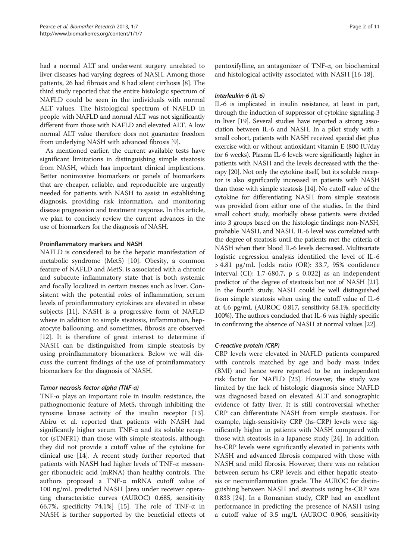had a normal ALT and underwent surgery unrelated to liver diseases had varying degrees of NASH. Among those patients, 26 had fibrosis and 8 had silent cirrhosis [[8\]](#page-8-0). The third study reported that the entire histologic spectrum of NAFLD could be seen in the individuals with normal ALT values. The histological spectrum of NAFLD in people with NAFLD and normal ALT was not significantly different from those with NAFLD and elevated ALT. A low normal ALT value therefore does not guarantee freedom from underlying NASH with advanced fibrosis [[9\]](#page-8-0).

As mentioned earlier, the current available tests have significant limitations in distinguishing simple steatosis from NASH, which has important clinical implications. Better noninvasive biomarkers or panels of biomarkers that are cheaper, reliable, and reproducible are urgently needed for patients with NASH to assist in establishing diagnosis, providing risk information, and monitoring disease progression and treatment response. In this article, we plan to concisely review the current advances in the use of biomarkers for the diagnosis of NASH.

# Proinflammatory markers and NASH

NAFLD is considered to be the hepatic manifestation of metabolic syndrome (MetS) [[10](#page-8-0)]. Obesity, a common feature of NAFLD and MetS, is associated with a chronic and subacute inflammatory state that is both systemic and focally localized in certain tissues such as liver. Consistent with the potential roles of inflammation, serum levels of proinflammatory cytokines are elevated in obese subjects [\[11](#page-8-0)]. NASH is a progressive form of NAFLD where in addition to simple steatosis, inflammation, hepatocyte ballooning, and sometimes, fibrosis are observed [[12\]](#page-8-0). It is therefore of great interest to determine if NASH can be distinguished from simple steatosis by using proinflammatory biomarkers. Below we will discuss the current findings of the use of proinflammatory biomarkers for the diagnosis of NASH.

# Tumor necrosis factor alpha (TNF-α)

TNF-α plays an important role in insulin resistance, the pathognomonic feature of MetS, through inhibiting the tyrosine kinase activity of the insulin receptor [\[13](#page-8-0)]. Abiru et al. reported that patients with NASH had significantly higher serum  $TNF-\alpha$  and its soluble receptor (sTNFR1) than those with simple steatosis, although they did not provide a cutoff value of the cytokine for clinical use [\[14\]](#page-8-0). A recent study further reported that patients with NASH had higher levels of TNF-α messenger ribonucleic acid (mRNA) than healthy controls. The authors proposed a TNF-α mRNA cutoff value of 100 ng/mL predicted NASH [area under receiver operating characteristic curves (AUROC) 0.685, sensitivity 66.7%, specificity 74.1%] [\[15](#page-8-0)]. The role of TNF- $\alpha$  in NASH is further supported by the beneficial effects of

pentoxifylline, an antagonizer of TNF-α, on biochemical and histological activity associated with NASH [\[16](#page-9-0)-[18](#page-9-0)].

# Interleukin-6 (IL-6)

IL-6 is implicated in insulin resistance, at least in part, through the induction of suppressor of cytokine signaling-3 in liver [\[19\]](#page-9-0). Several studies have reported a strong association between IL-6 and NASH. In a pilot study with a small cohort, patients with NASH received special diet plus exercise with or without antioxidant vitamin E (800 IU/day for 6 weeks). Plasma IL-6 levels were significantly higher in patients with NASH and the levels decreased with the therapy [\[20\]](#page-9-0). Not only the cytokine itself, but its soluble receptor is also significantly increased in patients with NASH than those with simple steatosis [\[14](#page-8-0)]. No cutoff value of the cytokine for differentiating NASH from simple steatosis was provided from either one of the studies. In the third small cohort study, morbidly obese patients were divided into 3 groups based on the histologic findings: non-NASH, probable NASH, and NASH. IL-6 level was correlated with the degree of steatosis until the patients met the criteria of NASH when their blood IL-6 levels decreased. Multivariate logistic regression analysis identified the level of IL-6 > 4.81 pg/mL [odds ratio (OR): 33.7, 95% confidence interval (CI): 1.7-680.7,  $p \le 0.022$ ] as an independent predictor of the degree of steatosis but not of NASH [\[21](#page-9-0)]. In the fourth study, NASH could be well distinguished from simple steatosis when using the cutoff value of IL-6 at 4.6 pg/mL (AUROC 0.817, sensitivity 58.1%, specificity 100%). The authors concluded that IL-6 was highly specific in confirming the absence of NASH at normal values [[22](#page-9-0)].

# C-reactive protein (CRP)

CRP levels were elevated in NAFLD patients compared with controls matched by age and body mass index (BMI) and hence were reported to be an independent risk factor for NAFLD [[23\]](#page-9-0). However, the study was limited by the lack of histologic diagnosis since NAFLD was diagnosed based on elevated ALT and sonographic evidence of fatty liver. It is still controversial whether CRP can differentiate NASH from simple steatosis. For example, high-sensitivity CRP (hs-CRP) levels were significantly higher in patients with NASH compared with those with steatosis in a Japanese study [[24\]](#page-9-0). In addition, hs-CRP levels were significantly elevated in patients with NASH and advanced fibrosis compared with those with NASH and mild fibrosis. However, there was no relation between serum hs-CRP levels and either hepatic steatosis or necroinflammation grade. The AUROC for distinguishing between NASH and steatosis using hs-CRP was 0.833 [[24\]](#page-9-0). In a Romanian study, CRP had an excellent performance in predicting the presence of NASH using a cutoff value of 3.5 mg/L (AUROC 0.906, sensitivity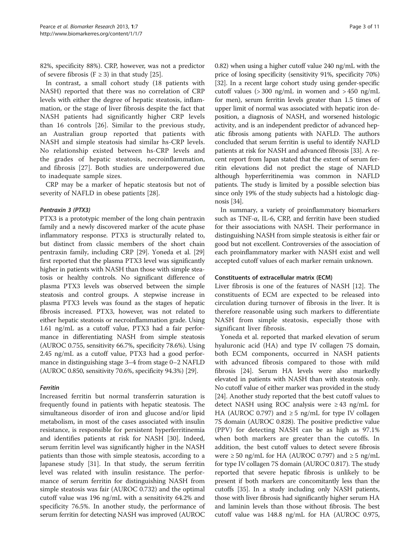82%, specificity 88%). CRP, however, was not a predictor of severe fibrosis ( $F \ge 3$ ) in that study [[25\]](#page-9-0).

In contrast, a small cohort study (18 patients with NASH) reported that there was no correlation of CRP levels with either the degree of hepatic steatosis, inflammation, or the stage of liver fibrosis despite the fact that NASH patients had significantly higher CRP levels than 16 controls [[26](#page-9-0)]. Similar to the previous study, an Australian group reported that patients with NASH and simple steatosis had similar hs-CRP levels. No relationship existed between hs-CRP levels and the grades of hepatic steatosis, necroinflammation, and fibrosis [[27\]](#page-9-0). Both studies are underpowered due to inadequate sample sizes.

CRP may be a marker of hepatic steatosis but not of severity of NAFLD in obese patients [[28](#page-9-0)].

# Pentraxin 3 (PTX3)

PTX3 is a prototypic member of the long chain pentraxin family and a newly discovered marker of the acute phase inflammatory response. PTX3 is structurally related to, but distinct from classic members of the short chain pentraxin family, including CRP [[29](#page-9-0)]. Yoneda et al. [[29](#page-9-0)] first reported that the plasma PTX3 level was significantly higher in patients with NASH than those with simple steatosis or healthy controls. No significant difference of plasma PTX3 levels was observed between the simple steatosis and control groups. A stepwise increase in plasma PTX3 levels was found as the stages of hepatic fibrosis increased. PTX3, however, was not related to either hepatic steatosis or necroinflammation grade. Using 1.61 ng/mL as a cutoff value, PTX3 had a fair performance in differentiating NASH from simple steatosis (AUROC 0.755, sensitivity 66.7%, specificity 78.6%). Using 2.45 ng/mL as a cutoff value, PTX3 had a good performance in distinguishing stage 3–4 from stage 0–2 NAFLD (AUROC 0.850, sensitivity 70.6%, specificity 94.3%) [\[29\]](#page-9-0).

### Ferritin

Increased ferritin but normal transferrin saturation is frequently found in patients with hepatic steatosis. The simultaneous disorder of iron and glucose and/or lipid metabolism, in most of the cases associated with insulin resistance, is responsible for persistent hyperferritinemia and identifies patients at risk for NASH [\[30](#page-9-0)]. Indeed, serum ferritin level was significantly higher in the NASH patients than those with simple steatosis, according to a Japanese study [[31](#page-9-0)]. In that study, the serum ferritin level was related with insulin resistance. The performance of serum ferritin for distinguishing NASH from simple steatosis was fair (AUROC 0.732) and the optimal cutoff value was 196 ng/mL with a sensitivity 64.2% and specificity 76.5%. In another study, the performance of serum ferritin for detecting NASH was improved (AUROC 0.82) when using a higher cutoff value 240 ng/mL with the price of losing specificity (sensitivity 91%, specificity 70%) [[32](#page-9-0)]. In a recent large cohort study using gender-specific cutoff values (> 300 ng/mL in women and > 450 ng/mL for men), serum ferritin levels greater than 1.5 times of upper limit of normal was associated with hepatic iron deposition, a diagnosis of NASH, and worsened histologic activity, and is an independent predictor of advanced hepatic fibrosis among patients with NAFLD. The authors concluded that serum ferritin is useful to identify NAFLD patients at risk for NASH and advanced fibrosis [\[33\]](#page-9-0). A recent report from Japan stated that the extent of serum ferritin elevations did not predict the stage of NAFLD although hyperferritinemia was common in NAFLD patients. The study is limited by a possible selection bias since only 19% of the study subjects had a histologic diagnosis [\[34](#page-9-0)].

In summary, a variety of proinflammatory biomarkers such as TNF-α, IL-6, CRP, and ferritin have been studied for their associations with NASH. Their performance in distinguishing NASH from simple steatosis is either fair or good but not excellent. Controversies of the association of each proinflammatory marker with NASH exist and well accepted cutoff values of each marker remain unknown.

# Constituents of extracellular matrix (ECM)

Liver fibrosis is one of the features of NASH [\[12](#page-8-0)]. The constituents of ECM are expected to be released into circulation during turnover of fibrosis in the liver. It is therefore reasonable using such markers to differentiate NASH from simple steatosis, especially those with significant liver fibrosis.

Yoneda et al. reported that marked elevation of serum hyaluronic acid (HA) and type IV collagen 7S domain, both ECM components, occurred in NASH patients with advanced fibrosis compared to those with mild fibrosis [\[24](#page-9-0)]. Serum HA levels were also markedly elevated in patients with NASH than with steatosis only. No cutoff value of either marker was provided in the study [[24](#page-9-0)]. Another study reported that the best cutoff values to detect NASH using ROC analysis were  $\geq$  43 ng/mL for HA (AUROC 0.797) and  $\geq$  5 ng/mL for type IV collagen 7S domain (AUROC 0.828). The positive predictive value (PPV) for detecting NASH can be as high as 97.1% when both markers are greater than the cutoffs. In addition, the best cutoff values to detect severe fibrosis were  $\geq$  50 ng/mL for HA (AUROC 0.797) and  $\geq$  5 ng/mL for type IV collagen 7S domain (AUROC 0.817). The study reported that severe hepatic fibrosis is unlikely to be present if both markers are concomitantly less than the cutoffs [[35](#page-9-0)]. In a study including only NASH patients, those with liver fibrosis had significantly higher serum HA and laminin levels than those without fibrosis. The best cutoff value was 148.8 ng/mL for HA (AUROC 0.975,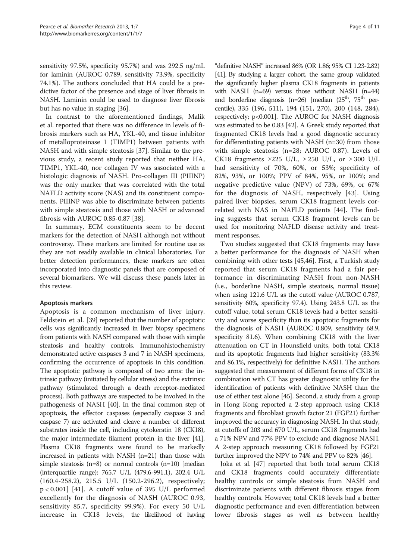sensitivity 97.5%, specificity 95.7%) and was 292.5 ng/mL for laminin (AUROC 0.789, sensitivity 73.9%, specificity 74.1%). The authors concluded that HA could be a predictive factor of the presence and stage of liver fibrosis in NASH. Laminin could be used to diagnose liver fibrosis but has no value in staging [\[36\]](#page-9-0).

In contrast to the aforementioned findings, Malik et al. reported that there was no difference in levels of fibrosis markers such as HA, YKL-40, and tissue inhibitor of metalloproteinase 1 (TIMP1) between patients with NASH and with simple steatosis [\[37\]](#page-9-0). Similar to the previous study, a recent study reported that neither HA, TIMP1, YKL-40, nor collagen IV was associated with a histologic diagnosis of NASH. Pro-collagen III (PIIINP) was the only marker that was correlated with the total NAFLD activity score (NAS) and its constituent components. PIIINP was able to discriminate between patients with simple steatosis and those with NASH or advanced fibrosis with AUROC 0.85-0.87 [\[38](#page-9-0)].

In summary, ECM constituents seem to be decent markers for the detection of NASH although not without controversy. These markers are limited for routine use as they are not readily available in clinical laboratories. For better detection performances, these markers are often incorporated into diagnostic panels that are composed of several biomarkers. We will discuss these panels later in this review.

# Apoptosis markers

Apoptosis is a common mechanism of liver injury. Feldstein et al. [\[39](#page-9-0)] reported that the number of apoptotic cells was significantly increased in liver biopsy specimens from patients with NASH compared with those with simple steatosis and healthy controls. Immunohistochemistry demonstrated active caspases 3 and 7 in NASH specimens, confirming the occurrence of apoptosis in this condition. The apoptotic pathway is composed of two arms: the intrinsic pathway (initiated by cellular stress) and the extrinsic pathway (stimulated through a death receptor-mediated process). Both pathways are suspected to be involved in the pathogenesis of NASH [[40](#page-9-0)]. In the final common step of apoptosis, the effector caspases (especially caspase 3 and caspase 7) are activated and cleave a number of different substrates inside the cell, including cytokeratin 18 (CK18), the major intermediate filament protein in the liver [\[41](#page-9-0)]. Plasma CK18 fragments were found to be markedly increased in patients with NASH (n=21) than those with simple steatosis  $(n=8)$  or normal controls  $(n=10)$  [median (interquartile range): 765.7 U/L (479.6-991.1), 202.4 U/L (160.4-258.2), 215.5 U/L (150.2-296.2), respectively; p < 0.001] [\[41](#page-9-0)]. A cutoff value of 395 U/L performed excellently for the diagnosis of NASH (AUROC 0.93, sensitivity 85.7, specificity 99.9%). For every 50 U/L increase in CK18 levels, the likelihood of having

"definitive NASH" increased 86% (OR 1.86; 95% CI 1.23-2.82) [[41\]](#page-9-0). By studying a larger cohort, the same group validated the significantly higher plasma CK18 fragments in patients with NASH (n=69) versus those without NASH (n=44) and borderline diagnosis (n=26) [median  $(25<sup>th</sup>, 75<sup>th</sup>$  percentile), 335 (196, 511), 194 (151, 270), 200 (148, 284), respectively; p<0.001]. The AUROC for NASH diagnosis was estimated to be 0.83 [\[42\]](#page-9-0). A Greek study reported that fragmented CK18 levels had a good diagnostic accuracy for differentiating patients with NASH (n=30) from those with simple steatosis (n=28; AUROC 0.87). Levels of CK18 fragments ≥225 U/L, ≥ 250 U/L, or ≥ 300 U/L had sensitivity of 70%, 60%, or 53%; specificity of 82%, 93%, or 100%; PPV of 84%, 95%, or 100%; and negative predictive value (NPV) of 73%, 69%, or 67% for the diagnosis of NASH, respectively [\[43](#page-9-0)]. Using paired liver biopsies, serum CK18 fragment levels correlated with NAS in NAFLD patients [[44](#page-9-0)]. The finding suggests that serum CK18 fragment levels can be used for monitoring NAFLD disease activity and treatment responses.

Two studies suggested that CK18 fragments may have a better performance for the diagnosis of NASH when combining with other tests [\[45,46\]](#page-9-0). First, a Turkish study reported that serum CK18 fragments had a fair performance in discriminating NASH from non-NASH (i.e., borderline NASH, simple steatosis, normal tissue) when using 121.6 U/L as the cutoff value (AUROC 0.787, sensitivity 60%, specificity 97.4). Using 243.8 U/L as the cutoff value, total serum CK18 levels had a better sensitivity and worse specificity than its apoptotic fragments for the diagnosis of NASH (AUROC 0.809, sensitivity 68.9, specificity 81.6). When combining CK18 with the liver attenuation on CT in Hounsfield units, both total CK18 and its apoptotic fragments had higher sensitivity (83.3% and 86.1%, respectively) for definitive NASH. The authors suggested that measurement of different forms of CK18 in combination with CT has greater diagnostic utility for the identification of patients with definitive NASH than the use of either test alone [[45\]](#page-9-0). Second, a study from a group in Hong Kong reported a 2-step approach using CK18 fragments and fibroblast growth factor 21 (FGF21) further improved the accuracy in diagnosing NASH. In that study, at cutoffs of 203 and 670 U/L, serum CK18 fragments had a 71% NPV and 77% PPV to exclude and diagnose NASH. A 2-step approach measuring CK18 followed by FGF21 further improved the NPV to 74% and PPV to 82% [[46](#page-9-0)].

Joka et al. [\[47\]](#page-9-0) reported that both total serum CK18 and CK18 fragments could accurately differentiate healthy controls or simple steatosis from NASH and discriminate patients with different fibrosis stages from healthy controls. However, total CK18 levels had a better diagnostic performance and even differentiation between lower fibrosis stages as well as between healthy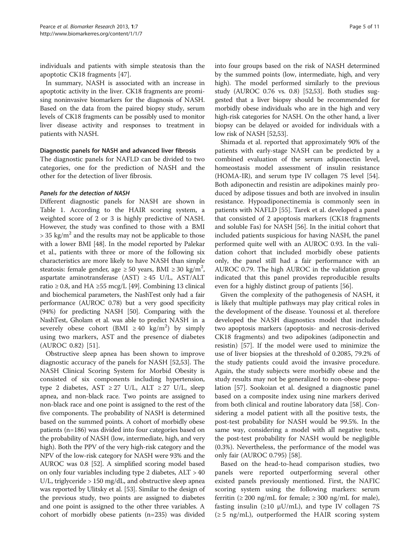individuals and patients with simple steatosis than the apoptotic CK18 fragments [[47\]](#page-9-0).

In summary, NASH is associated with an increase in apoptotic activity in the liver. CK18 fragments are promising noninvasive biomarkers for the diagnosis of NASH. Based on the data from the paired biopsy study, serum levels of CK18 fragments can be possibly used to monitor liver disease activity and responses to treatment in patients with NASH.

### Diagnostic panels for NASH and advanced liver fibrosis

The diagnostic panels for NAFLD can be divided to two categories, one for the prediction of NASH and the other for the detection of liver fibrosis.

# Panels for the detection of NASH

Different diagnostic panels for NASH are shown in Table [1](#page-5-0). According to the HAIR scoring system, a weighted score of 2 or 3 is highly predictive of NASH. However, the study was confined to those with a BMI  $>$  35 kg/m<sup>2</sup> and the results may not be applicable to those with a lower BMI [[48](#page-9-0)]. In the model reported by Palekar et al., patients with three or more of the following six characteristics are more likely to have NASH than simple steatosis: female gender, age  $\geq 50$  years, BMI  $\geq 30$  kg/m<sup>2</sup>, aspartate aminotransferase (AST)  $\geq$  45 U/L, AST/ALT ratio ≥ 0.8, and HA ≥55 mcg/L [\[49](#page-9-0)]. Combining 13 clinical and biochemical parameters, the NashTest only had a fair performance (AUROC 0.78) but a very good specificity (94%) for predicting NASH [[50](#page-9-0)]. Comparing with the NashTest, Gholam et al. was able to predict NASH in a severely obese cohort (BMI  $\geq 40$  kg/m<sup>2</sup>) by simply using two markers, AST and the presence of diabetes (AUROC 0.82) [\[51](#page-9-0)].

Obstructive sleep apnea has been shown to improve diagnostic accuracy of the panels for NASH [\[52](#page-9-0)[,53\]](#page-10-0). The NASH Clinical Scoring System for Morbid Obesity is consisted of six components including hypertension, type 2 diabetes, AST ≥ 27 U/L, ALT ≥ 27 U/L, sleep apnea, and non-black race. Two points are assigned to non-black race and one point is assigned to the rest of the five components. The probability of NASH is determined based on the summed points. A cohort of morbidly obese patients (n=186) was divided into four categories based on the probability of NASH (low, intermediate, high, and very high). Both the PPV of the very high-risk category and the NPV of the low-risk category for NASH were 93% and the AUROC was 0.8 [\[52](#page-9-0)]. A simplified scoring model based on only four variables including type 2 diabetes,  $ALT > 40$ U/L, triglyceride > 150 mg/dL, and obstructive sleep apnea was reported by Ulitsky et al. [\[53\]](#page-10-0). Similar to the design of the previous study, two points are assigned to diabetes and one point is assigned to the other three variables. A cohort of morbidly obese patients (n=235) was divided

into four groups based on the risk of NASH determined by the summed points (low, intermediate, high, and very high). The model performed similarly to the previous study (AUROC 0.76 vs. 0.8) [\[52,](#page-9-0)[53](#page-10-0)]. Both studies suggested that a liver biopsy should be recommended for morbidly obese individuals who are in the high and very high-risk categories for NASH. On the other hand, a liver biopsy can be delayed or avoided for individuals with a low risk of NASH [[52](#page-9-0)[,53](#page-10-0)].

Shimada et al. reported that approximately 90% of the patients with early-stage NASH can be predicted by a combined evaluation of the serum adiponectin level, homeostasis model assessment of insulin resistance (HOMA-IR), and serum type IV collagen 7S level [\[54](#page-10-0)]. Both adiponectin and resistin are adipokines mainly produced by adipose tissues and both are involved in insulin resistance. Hypoadiponectinemia is commonly seen in patients with NAFLD [[55\]](#page-10-0). Tarek et al. developed a panel that consisted of 2 apoptosis markers (CK18 fragments and soluble Fas) for NASH [\[56](#page-10-0)]. In the initial cohort that included patients suspicious for having NASH, the panel performed quite well with an AUROC 0.93. In the validation cohort that included morbidly obese patients only, the panel still had a fair performance with an AUROC 0.79. The high AUROC in the validation group indicated that this panel provides reproducible results even for a highly distinct group of patients [[56](#page-10-0)].

Given the complexity of the pathogenesis of NASH, it is likely that multiple pathways may play critical roles in the development of the disease. Younossi et al. therefore developed the NASH diagnostics model that includes two apoptosis markers (apoptosis- and necrosis-derived CK18 fragments) and two adipokines (adiponectin and resistin) [[57\]](#page-10-0). If the model were used to minimize the use of liver biopsies at the threshold of 0.2085, 79.2% of the study patients could avoid the invasive procedure. Again, the study subjects were morbidly obese and the study results may not be generalized to non-obese population [\[57](#page-10-0)]. Sookoian et al. designed a diagnostic panel based on a composite index using nine markers derived from both clinical and routine laboratory data [[58](#page-10-0)]. Considering a model patient with all the positive tests, the post-test probability for NASH would be 99.5%. In the same way, considering a model with all negative tests, the post-test probability for NASH would be negligible (0.3%). Nevertheless, the performance of the model was only fair (AUROC 0.795) [[58\]](#page-10-0).

Based on the head-to-head comparison studies, two panels were reported outperforming several other existed panels previously mentioned. First, the NAFIC scoring system using the following markers: serum ferritin ( $\geq 200$  ng/mL for female;  $\geq 300$  ng/mL for male), fasting insulin ( $\geq 10 \mu U/mL$ ), and type IV collagen 7S  $(\geq 5 \text{ ng/mL})$ , outperformed the HAIR scoring system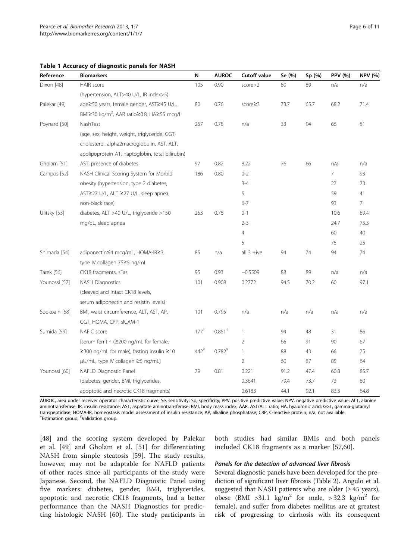#### <span id="page-5-0"></span>Table 1 Accuracy of diagnostic panels for NASH

| Reference     | <b>Biomarkers</b>                                     | N                | <b>AUROC</b>         | Cutoff value   | Se (%) | Sp (%) | <b>PPV (%)</b> | <b>NPV (%)</b> |
|---------------|-------------------------------------------------------|------------------|----------------------|----------------|--------|--------|----------------|----------------|
| Dixon [48]    | <b>HAIR</b> score                                     | 105              | 0.90                 | score>2        | 80     | 89     | n/a            | n/a            |
|               | (hypertension, ALT>40 U/L, IR index>5)                |                  |                      |                |        |        |                |                |
| Palekar [49]  | age≥50 years, female gender, AST≥45 U/L,              | 80               | 0.76                 | score≥3        | 73.7   | 65.7   | 68.2           | 71.4           |
|               | BMI≥30 kg/m <sup>2</sup> , AAR ratio≥0.8, HA≥55 mcg/L |                  |                      |                |        |        |                |                |
| Poynard [50]  | NashTest                                              | 257              | 0.78                 | n/a            | 33     | 94     | 66             | 81             |
|               | (age, sex, height, weight, triglyceride, GGT,         |                  |                      |                |        |        |                |                |
|               | cholesterol, alpha2macroglobulin, AST, ALT,           |                  |                      |                |        |        |                |                |
|               | apolipoprotein A1, haptoglobin, total bilirubin)      |                  |                      |                |        |        |                |                |
| Gholam [51]   | AST, presence of diabetes                             | 97               | 0.82                 | 8.22           | 76     | 66     | n/a            | n/a            |
| Campos [52]   | NASH Clinical Scoring System for Morbid               | 186              | 0.80                 | $0 - 2$        |        |        | 7              | 93             |
|               | obesity (hypertension, type 2 diabetes,               |                  |                      | $3 - 4$        |        |        | 27             | 73             |
|               | AST≥27 U/L, ALT ≥27 U/L, sleep apnea,                 |                  |                      | 5              |        |        | 59             | 41             |
|               | non-black race)                                       |                  |                      | $6 - 7$        |        |        | 93             | $\overline{7}$ |
| Ulitsky [53]  | diabetes, ALT >40 U/L, triglyceride >150              | 253              | 0.76                 | $0 - 1$        |        |        | 10.6           | 89.4           |
|               | mg/dL, sleep apnea                                    |                  |                      | $2 - 3$        |        |        | 24.7           | 75.3           |
|               |                                                       |                  |                      | 4              |        |        | 60             | 40             |
|               |                                                       |                  |                      | 5              |        |        | 75             | 25             |
| Shimada [54]  | adiponectin≤4 mcg/mL, HOMA-IR≥3,                      | 85               | n/a                  | all $3 + ive$  | 94     | 74     | 94             | 74             |
|               | type IV collagen 7S≥5 ng/mL                           |                  |                      |                |        |        |                |                |
| Tarek [56]    | CK18 fragments, sFas                                  | 95               | 0.93                 | $-0.5509$      | 88     | 89     | n/a            | n/a            |
| Younossi [57] | <b>NASH Diagnostics</b>                               | 101              | 0.908                | 0.2772         | 94.5   | 70.2   | 60             | 97.1           |
|               | (cleaved and intact CK18 levels,                      |                  |                      |                |        |        |                |                |
|               | serum adiponectin and resistin levels)                |                  |                      |                |        |        |                |                |
| Sookoain [58] | BMI, waist circumference, ALT, AST, AP,               | 101              | 0.795                | n/a            | n/a    | n/a    | n/a            | n/a            |
|               | GGT, HOMA, CRP, sICAM-1                               |                  |                      |                |        |        |                |                |
| Sumida [59]   | NAFIC score                                           | $177^{\dagger}$  | 0.851 <sup>†</sup>   | $\mathbf{1}$   | 94     | 48     | 31             | 86             |
|               | [serum ferritin (≥200 ng/mL for female,               |                  |                      | $\overline{2}$ | 66     | 91     | 90             | 67             |
|               | ≥300 ng/mL for male), fasting insulin ≥10             | 442 <sup>4</sup> | $0.782$ <sup>*</sup> | $\mathbf{1}$   | 88     | 43     | 66             | 75             |
|               | µU/mL, type IV collagen ≥5 ng/mL]                     |                  |                      | $\overline{2}$ | 60     | 87     | 85             | 64             |
| Younossi [60] | NAFLD Diagnostic Panel                                | 79               | 0.81                 | 0.221          | 91.2   | 47.4   | 60.8           | 85.7           |
|               | (diabetes, gender, BMI, triglycerides,                |                  |                      | 0.3641         | 79.4   | 73.7   | 73             | 80             |
|               | apoptotic and necrotic CK18 fragments)                |                  |                      | 0.6183         | 44.1   | 92.1   | 83.3           | 64.8           |

AUROC, area under receiver operator characteristic curve; Se, sensitivity; Sp, specificity; PPV, positive predictive value; NPV, negative predictive value; ALT, alanine aminotransferase; IR, insulin resistance; AST, aspartate aminotransferase; BMI, body mass index; AAR, AST/ALT ratio; HA, hyaluronic acid; GGT, gamma-glutamyl transpeptidase; HOMA-IR, homeostasis model assessment of insulin resistance; AP, alkaline phosphatase; CRP, C-reactive protein; n/a, not available. Estimation group; ¥ Validation group.

[[48\]](#page-9-0) and the scoring system developed by Palekar et al. [[49\]](#page-9-0) and Gholam et al. [\[51](#page-9-0)] for differentiating NASH from simple steatosis [[59\]](#page-10-0). The study results, however, may not be adaptable for NAFLD patients of other races since all participants of the study were Japanese. Second, the NAFLD Diagnostic Panel using five markers: diabetes, gender, BMI, triglycerides, apoptotic and necrotic CK18 fragments, had a better performance than the NASH Diagnostics for predicting histologic NASH [[60\]](#page-10-0). The study participants in

both studies had similar BMIs and both panels included CK18 fragments as a marker [[57,60](#page-10-0)].

## Panels for the detection of advanced liver fibrosis

Several diagnostic panels have been developed for the prediction of significant liver fibrosis (Table [2](#page-6-0)). Angulo et al. suggested that NASH patients who are older  $(≥ 45$  years), obese (BMI >31.1 kg/m<sup>2</sup> for male, >32.3 kg/m<sup>2</sup> for female), and suffer from diabetes mellitus are at greatest risk of progressing to cirrhosis with its consequent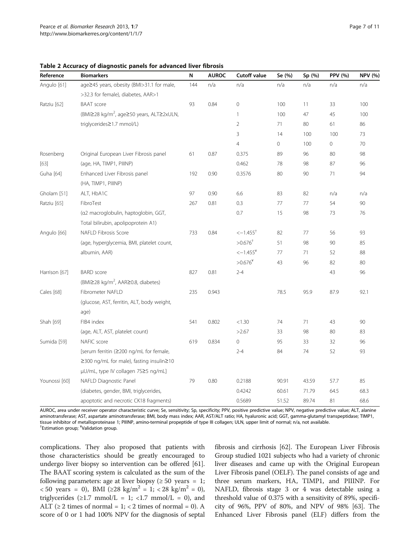| Reference     | <b>Biomarkers</b>                                            | N   | <b>AUROC</b> | <b>Cutoff value</b>    | Se (%) | Sp (%) | <b>PPV (%)</b> | <b>NPV (%)</b> |
|---------------|--------------------------------------------------------------|-----|--------------|------------------------|--------|--------|----------------|----------------|
| Angulo [61]   | age≥45 years, obesity (BMI>31.1 for male,                    | 144 | n/a          | n/a                    | n/a    | n/a    | n/a            | n/a            |
|               | >32.3 for female), diabetes, AAR>1                           |     |              |                        |        |        |                |                |
| Ratziu [62]   | <b>BAAT</b> score                                            | 93  | 0.84         | $\mathbf 0$            | 100    | 11     | 33             | 100            |
|               | (BMI≥28 kg/m <sup>2</sup> , age≥50 years, ALT≥2xULN,         |     |              | $\mathbf{1}$           | 100    | 47     | 45             | 100            |
|               | triglycerides≥1.7 mmol/L)                                    |     |              | $\overline{2}$         | 71     | 80     | 61             | 86             |
|               |                                                              |     |              | 3                      | 14     | 100    | 100            | 73             |
|               |                                                              |     |              | $\overline{4}$         | 0      | 100    | $\overline{0}$ | 70             |
| Rosenberg     | Original European Liver Fibrosis panel                       | 61  | 0.87         | 0.375                  | 89     | 96     | 80             | 98             |
| $[63]$        | (age, HA, TIMP1, PIIINP)                                     |     |              | 0.462                  | 78     | 98     | 87             | 96             |
| Guha [64]     | Enhanced Liver Fibrosis panel                                | 192 | 0.90         | 0.3576                 | 80     | 90     | 71             | 94             |
|               | (HA, TIMP1, PIIINP)                                          |     |              |                        |        |        |                |                |
| Gholam [51]   | ALT, HbA1C                                                   | 97  | 0.90         | 6.6                    | 83     | 82     | n/a            | n/a            |
| Ratziu [65]   | FibroTest                                                    | 267 | 0.81         | 0.3                    | 77     | 77     | 54             | 90             |
|               | (a2 macroglobulin, haptoglobin, GGT,                         |     |              | 0.7                    | 15     | 98     | 73             | 76             |
|               | Total bilirubin, apolipoprotein A1)                          |     |              |                        |        |        |                |                |
| Angulo [66]   | NAFLD Fibrosis Score                                         | 733 | 0.84         | $<-1.455$ <sup>+</sup> | 82     | 77     | 56             | 93             |
|               | (age, hyperglycemia, BMI, platelet count,                    |     |              | $>0.676$ <sup>+</sup>  | 51     | 98     | 90             | 85             |
|               | albumin, AAR)                                                |     |              | $<-1.455^{4}$          | 77     | 71     | 52             | 88             |
|               |                                                              |     |              | $>0.676$ <sup>¥</sup>  | 43     | 96     | 82             | 80             |
| Harrison [67] | <b>BARD</b> score                                            | 827 | 0.81         | $2 - 4$                |        |        | 43             | 96             |
|               | (BMI $\geq$ 28 kg/m <sup>2</sup> , AAR $\geq$ 0.8, diabetes) |     |              |                        |        |        |                |                |
| Cales [68]    | Fibrometer NAFLD                                             | 235 | 0.943        |                        | 78.5   | 95.9   | 87.9           | 92.1           |
|               | (glucose, AST, ferritin, ALT, body weight,                   |     |              |                        |        |        |                |                |
|               | age)                                                         |     |              |                        |        |        |                |                |
| Shah [69]     | FIB4 index                                                   | 541 | 0.802        | < 1.30                 | 74     | 71     | 43             | 90             |
|               | (age, ALT, AST, platelet count)                              |     |              | >2.67                  | 33     | 98     | 80             | 83             |
| Sumida [59]   | NAFIC score                                                  | 619 | 0.834        | 0                      | 95     | 33     | 32             | 96             |
|               | [serum ferritin (≥200 ng/mL for female,                      |     |              | $2 - 4$                | 84     | 74     | 52             | 93             |
|               | ≥300 ng/mL for male), fasting insulin≥10                     |     |              |                        |        |        |                |                |
|               | µU/mL, type IV collagen 7S≥5 ng/mL]                          |     |              |                        |        |        |                |                |
| Younossi [60] | NAFLD Diagnostic Panel                                       | 79  | 0.80         | 0.2188                 | 90.91  | 43.59  | 57.7           | 85             |
|               | (diabetes, gender, BMI, triglycerides,                       |     |              | 0.4242                 | 60.61  | 71.79  | 64.5           | 68.3           |
|               | apoptotic and necrotic CK18 fragments)                       |     |              | 0.5689                 | 51.52  | 89.74  | 81             | 68.6           |

<span id="page-6-0"></span>Table 2 Accuracy of diagnostic panels for advanced liver fibrosis

AUROC, area under receiver operator characteristic curve; Se, sensitivity; Sp, specificity; PPV, positive predictive value; NPV, negative predictive value; ALT, alanine aminotransferase; AST, aspartate aminotransferase; BMI, body mass index; AAR, AST/ALT ratio; HA, hyaluronic acid; GGT, gamma-glutamyl transpeptidase; TIMP1, tissue inhibitor of metalloproteinase 1; PIIINP, amino-terminal propeptide of type III collagen; ULN, upper limit of normal; n/a, not available. <sup>+</sup>Estimation group; <sup>¥</sup>Validation group.

complications. They also proposed that patients with those characteristics should be greatly encouraged to undergo liver biopsy so intervention can be offered [[61](#page-10-0)]. The BAAT scoring system is calculated as the sum of the following parameters: age at liver biopsy ( $\geq$  50 years = 1;  $< 50$  years = 0), BMI ( $\geq 28$  kg/m<sup>2</sup> = 1;  $< 28$  kg/m<sup>2</sup> = 0), triglycerides  $(\geq 1.7 \text{ mmol/L} = 1; \leq 1.7 \text{ mmol/L} = 0)$ , and ALT ( $\geq$  2 times of normal = 1; < 2 times of normal = 0). A score of 0 or 1 had 100% NPV for the diagnosis of septal

fibrosis and cirrhosis [\[62](#page-10-0)]. The European Liver Fibrosis Group studied 1021 subjects who had a variety of chronic liver diseases and came up with the Original European Liver Fibrosis panel (OELF). The panel consists of age and three serum markers, HA, TIMP1, and PIIINP. For NAFLD, fibrosis stage 3 or 4 was detectable using a threshold value of 0.375 with a sensitivity of 89%, specificity of 96%, PPV of 80%, and NPV of 98% [[63](#page-10-0)]. The Enhanced Liver Fibrosis panel (ELF) differs from the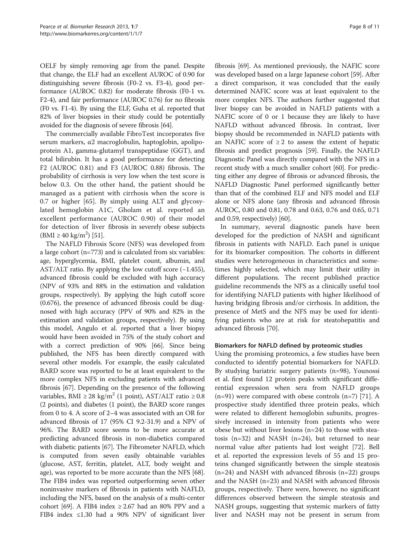OELF by simply removing age from the panel. Despite that change, the ELF had an excellent AUROC of 0.90 for distinguishing severe fibrosis (F0-2 vs. F3-4), good performance (AUROC 0.82) for moderate fibrosis (F0-1 vs. F2-4), and fair performance (AUROC 0.76) for no fibrosis (F0 vs. F1-4). By using the ELF, Guha et al. reported that 82% of liver biopsies in their study could be potentially avoided for the diagnosis of severe fibrosis [\[64\]](#page-10-0).

The commercially available FibroTest incorporates five serum markers, α2 macroglobulin, haptoglobin, apolipoprotein A1, gamma-glutamyl transpeptidase (GGT), and total bilirubin. It has a good performance for detecting F2 (AUROC 0.81) and F3 (AUROC 0.88) fibrosis. The probability of cirrhosis is very low when the test score is below 0.3. On the other hand, the patient should be managed as a patient with cirrhosis when the score is 0.7 or higher [\[65](#page-10-0)]. By simply using ALT and glycosylated hemoglobin A1C, Gholam et al. reported an excellent performance (AUROC 0.90) of their model for detection of liver fibrosis in severely obese subjects  $(BMI \ge 40 \text{ kg/m}^2)$  [\[51\]](#page-9-0).

The NAFLD Fibrosis Score (NFS) was developed from a large cohort (n=773) and is calculated from six variables: age, hyperglycemia, BMI, platelet count, albumin, and AST/ALT ratio. By applying the low cutoff score (-1.455), advanced fibrosis could be excluded with high accuracy (NPV of 93% and 88% in the estimation and validation groups, respectively). By applying the high cutoff score (0.676), the presence of advanced fibrosis could be diagnosed with high accuracy (PPV of 90% and 82% in the estimation and validation groups, respectively). By using this model, Angulo et al. reported that a liver biopsy would have been avoided in 75% of the study cohort and with a correct prediction of 90% [\[66\]](#page-10-0). Since being published, the NFS has been directly compared with several other models. For example, the easily calculated BARD score was reported to be at least equivalent to the more complex NFS in excluding patients with advanced fibrosis [\[67\]](#page-10-0). Depending on the presence of the following variables, BMI ≥ 28 kg/m<sup>2</sup> (1 point), AST/ALT ratio ≥ 0.8 (2 points), and diabetes (1 point), the BARD score ranges from 0 to 4. A score of 2–4 was associated with an OR for advanced fibrosis of 17 (95% CI 9.2-31.9) and a NPV of 96%. The BARD score seems to be more accurate at predicting advanced fibrosis in non-diabetics compared with diabetic patients [[67](#page-10-0)]. The Fibrometer NAFLD, which is computed from seven easily obtainable variables (glucose, AST, ferritin, platelet, ALT, body weight and age), was reported to be more accurate than the NFS [[68](#page-10-0)]. The FIB4 index was reported outperforming seven other noninvasive markers of fibrosis in patients with NAFLD, including the NFS, based on the analysis of a multi-center cohort [[69](#page-10-0)]. A FIB4 index  $\geq 2.67$  had an 80% PPV and a FIB4 index ≤1.30 had a 90% NPV of significant liver

fibrosis [[69](#page-10-0)]. As mentioned previously, the NAFIC score was developed based on a large Japanese cohort [[59](#page-10-0)]. After a direct comparison, it was concluded that the easily determined NAFIC score was at least equivalent to the more complex NFS. The authors further suggested that liver biopsy can be avoided in NAFLD patients with a NAFIC score of 0 or 1 because they are likely to have NAFLD without advanced fibrosis. In contrast, liver biopsy should be recommended in NAFLD patients with an NAFIC score of  $\geq 2$  to assess the extent of hepatic fibrosis and predict prognosis [[59](#page-10-0)]. Finally, the NAFLD Diagnostic Panel was directly compared with the NFS in a recent study with a much smaller cohort [[60](#page-10-0)]. For predicting either any degree of fibrosis or advanced fibrosis, the NAFLD Diagnostic Panel performed significantly better than that of the combined ELF and NFS model and ELF alone or NFS alone (any fibrosis and advanced fibrosis AUROC, 0.80 and 0.81, 0.78 and 0.63, 0.76 and 0.65, 0.71 and 0.59, respectively) [[60](#page-10-0)].

In summary, several diagnostic panels have been developed for the prediction of NASH and significant fibrosis in patients with NAFLD. Each panel is unique for its biomarker composition. The cohorts in different studies were heterogeneous in characteristics and sometimes highly selected, which may limit their utility in different populations. The recent published practice guideline recommends the NFS as a clinically useful tool for identifying NAFLD patients with higher likelihood of having bridging fibrosis and/or cirrhosis. In addition, the presence of MetS and the NFS may be used for identifying patients who are at risk for steatohepatitis and advanced fibrosis [\[70\]](#page-10-0).

# Biomarkers for NAFLD defined by proteomic studies

Using the promising proteomics, a few studies have been conducted to identify potential biomarkers for NAFLD. By studying bariatric surgery patients (n=98), Younossi et al. first found 12 protein peaks with significant differential expression when sera from NAFLD groups  $(n=91)$  were compared with obese controls  $(n=7)$  [\[71](#page-10-0)]. A prospective study identified three protein peaks, which were related to different hemoglobin subunits, progressively increased in intensity from patients who were obese but without liver lesions (n=24) to those with steatosis (n=32) and NASH (n=24), but returned to near normal value after patients had lost weight [[72\]](#page-10-0). Bell et al. reported the expression levels of 55 and 15 proteins changed significantly between the simple steatosis (n=24) and NASH with advanced fibrosis (n=22) groups and the NASH (n=23) and NASH with advanced fibrosis groups, respectively. There were, however, no significant differences observed between the simple steatosis and NASH groups, suggesting that systemic markers of fatty liver and NASH may not be present in serum from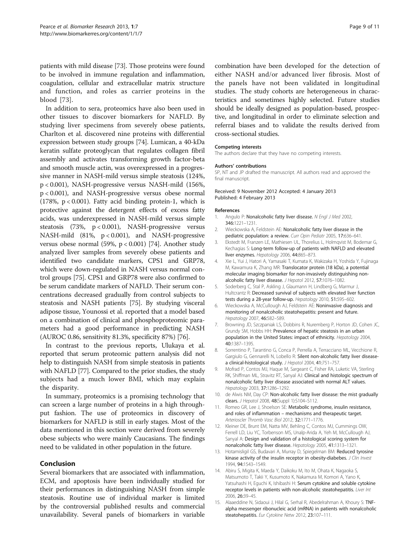<span id="page-8-0"></span>patients with mild disease [\[73](#page-10-0)]. Those proteins were found to be involved in immune regulation and inflammation, coagulation, cellular and extracellular matrix structure and function, and roles as carrier proteins in the blood [[73](#page-10-0)].

In addition to sera, proteomics have also been used in other tissues to discover biomarkers for NAFLD. By studying liver specimens from severely obese patients, Charlton et al. discovered nine proteins with differential expression between study groups [[74](#page-10-0)]. Lumican, a 40-kDa keratin sulfate proteoglycan that regulates collagen fibril assembly and activates transforming growth factor-beta and smooth muscle actin, was overexpressed in a progressive manner in NASH-mild versus simple steatosis (124%, p < 0.001), NASH-progressive versus NASH-mild (156%, p < 0.001), and NASH-progressive versus obese normal (178%,  $p < 0.001$ ). Fatty acid binding protein-1, which is protective against the detergent effects of excess fatty acids, was underexpressed in NASH-mild versus simple steatosis (73%, p < 0.001), NASH-progressive versus NASH-mild (81%, p < 0.001), and NASH-progressive versus obese normal (59%, p < 0.001) [[74](#page-10-0)]. Another study analyzed liver samples from severely obese patients and identified two candidate markers, CPS1 and GRP78, which were down-regulated in NASH versus normal control groups [\[75\]](#page-10-0). CPS1 and GRP78 were also confirmed to be serum candidate markers of NAFLD. Their serum concentrations decreased gradually from control subjects to steatosis and NASH patients [[75](#page-10-0)]. By studying visceral adipose tissue, Younossi et al. reported that a model based on a combination of clinical and phosphoproteomic parameters had a good performance in predicting NASH (AUROC 0.86, sensitivity 81.3%, specificity 87%) [\[76](#page-10-0)].

In contrast to the previous reports, Ulukaya et al. reported that serum proteomic pattern analysis did not help to distinguish NASH from simple steatosis in patients with NAFLD [[77](#page-10-0)]. Compared to the prior studies, the study subjects had a much lower BMI, which may explain the disparity.

In summary, proteomics is a promising technology that can screen a large number of proteins in a high throughput fashion. The use of proteomics in discovery of biomarkers for NAFLD is still in early stages. Most of the data mentioned in this section were derived from severely obese subjects who were mainly Caucasians. The findings need to be validated in other population in the future.

# Conclusion

Several biomarkers that are associated with inflammation, ECM, and apoptosis have been individually studied for their performances in distinguishing NASH from simple steatosis. Routine use of individual marker is limited by the controversial published results and commercial unavailability. Several panels of biomarkers in variable combination have been developed for the detection of either NASH and/or advanced liver fibrosis. Most of the panels have not been validated in longitudinal studies. The study cohorts are heterogeneous in characteristics and sometimes highly selected. Future studies should be ideally designed as population-based, prospective, and longitudinal in order to eliminate selection and referral biases and to validate the results derived from cross-sectional studies.

#### Competing interests

The authors declare that they have no competing interests.

#### Authors' contributions

SP, NT and JP drafted the manuscript. All authors read and approved the final manuscript.

Received: 9 November 2012 Accepted: 4 January 2013 Published: 4 February 2013

#### References

- 1. Angulo P: Nonalcoholic fatty liver disease. N Engl J Med 2002, 346:1221–1231.
- 2. Wieckowska A, Feldstein AE: Nonalcoholic fatty liver disease in the pediatric population: a review. Curr Opin Pediatr 2005, 17:636–641.
- 3. Ekstedt M, Franzen LE, Mathiesen UL, Thorelius L, Holmqvist M, Bodemar G, Kechagias S: Long-term follow-up of patients with NAFLD and elevated liver enzymes. Hepatology 2006, 44:865–873.
- 4. Xie L, Yui J, Hatori A, Yamasaki T, Kumata K, Wakizaka H, Yoshida Y, Fujinaga M, Kawamura K, Zhang MR: Translocator protein (18 kDa), a potential molecular imaging biomarker for non-invasively distinguishing nonalcoholic fatty liver disease. J Hepatol 2012, 57:1076–1082.
- 5. Soderberg C, Stal P, Askling J, Glaumann H, Lindberg G, Marmur J, Hultcrantz R: Decreased survival of subjects with elevated liver function tests during a 28-year follow-up. Hepatology 2010, 51:595–602.
- 6. Wieckowska A, McCullough AJ, Feldstein AE: Noninvasive diagnosis and monitoring of nonalcoholic steatohepatitis: present and future. Hepatology 2007, 46:582–589.
- Browning JD, Szczpaniak LS, Dobbins R, Nuremberg P, Horton JD, Cohen JC, Grundy SM, Hobbs HH: Prevalence of hepatic steatosis in an urban population in the United States: impact of ethnicity. Hepatology 2004, 40:1387–1395.
- 8. Sorrentino P, Tarantino G, Conca P, Perrella A, Terracciano ML, Vecchione R, Gargiulo G, Gennarelli N, Lobello R: Silent non-alcoholic fatty liver diseasea clinical-histological study. J Hepatol 2004, 41:751–757.
- 9. Mofrad P, Contos MJ, Haque M, Sargeant C, Fisher RA, Luketic VA, Sterling RK, Shiffman ML, Stravitz RT, Sanyal AJ: Clinical and histologic spectrum of nonalcoholic fatty liver disease associated with normal ALT values. Hepatology 2003, 37:1286–1292.
- 10. de Alwis NM, Day CP: Non-alcoholic fatty liver disease: the mist gradually clears. J Hepatol 2008, 48(Suppl 1):S104–S112.
- 11. Romeo GR, Lee J, Shoelson SE: Metabolic syndrome, insulin resistance, and roles of inflammation – mechanisms and therapeutic target. Arterioscler Thromb Vasc Biol 2012, 32:1771–1776.
- 12. Kleiner DE, Brunt EM, Natta MV, Behling C, Contos MJ, Cummings OW, Ferrell LD, Liu YC, Torbenson MS, Unalp-Arida A, Yeh M, McCullough AJ, Sanyal A: Design and validation of a histological scoring system for nonalcoholic fatty liver disease. Hepatology 2005, 41:1313–1321.
- 13. Hotamisligil GS, Budavari A, Murray D, Spiegelman BM: Reduced tyrosine kinase activity of the insulin receptor in obesity-diabebes. J Clin Invest 1994, 94:1543–1549.
- 14. Abiru S, Migita K, Maeda Y, Daikoku M, Ito M, Ohata K, Nagaoka S, Matsumoto T, Takii Y, Kusumoto K, Nakamura M, Komori A, Yano K, Yatsuhashi H, Eguchi K, Ishibashi H: Serum cytokine and soluble cytokine receptor levels in patients with non-alcoholic steatohepatitis. Liver Int 2006, 26:39–45.
- 15. Alaaeddine N, Sidaoui J, Hilal G, Serhal R, Abedelrahman A, Khoury S: TNFalpha messenger ribonucleic acid (mRNA) in patients with nonalcoholic steatohepatitis. Eur Cytokine Netw 2012, 23:107–111.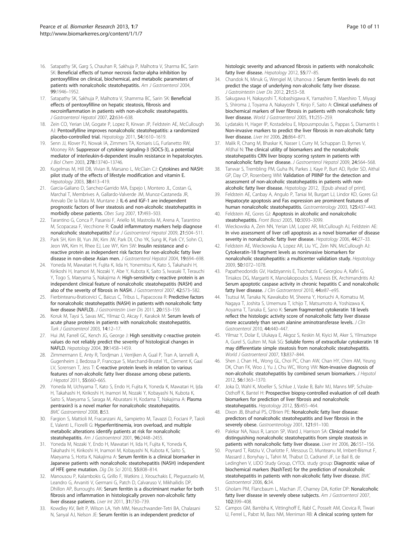- <span id="page-9-0"></span>16. Satapathy SK, Garg S, Chauhan R, Sakhuja P, Malhotra V, Sharma BC, Sarin SK: Beneficial effects of tumor necrosis factor-alpha inhibition by pentoxyfilline on clinical, biochemical, and metabolic parameters of patients with nonalcoholic steatohepatitis. Am J Gastroenterol 2004, 99:1946–1952.
- 17. Satapathy SK, Sakhuja P, Malhotra V, Shamrma BC, Sarin SK: Beneficial effects of pentoxyfilline on hepatic steatosis, fibrosis and necroinflammation in patients with non-alcoholic steatohepatitis. J Gastroenterol Hepatol 2007, 22:634–638.
- 18. Zein CO, Yerian LM, Gogate P, Lopez R, Kirwan JP, Feldstein AE, McCullough AJ: Pentoxifylline improves nonalcoholic steatohepatitis: a randomized placebo-controlled trial. Hepatology 2011, 54:1610–1619.
- 19. Senn JJ, Klover PJ, Nowak IA, Zimmers TA, Koniaris LG, Furlanetto RW, Mooney RA: Suppressor of cytokine signaling-3 (SOCS-3), a potential mediator of interleukin-6-dependent insulin resistance in hepatolocytes. J Biol Chem 2003, 278:13740–13746.
- 20. Kugelmas M, Hill DB, Vivian B, Marsano L, McClain CJ: Cytokines and NASH: pilot study of the effects of lifestyle modification and vitamin E. Hepatology 2003, 38:413–419.
- 21. Garcia-Galiano D, Sanchez-Garrido MA, Espejo I, Montero JL, Costan G, Marchal T, Membrives A, Gallardo-Valverde JM, Munoz-Castaneda JR, Arevalo De la Mata M, Muntane J: IL-6 and IGF-1 are independent prognostic factors of liver steatosis and non-alcoholic steatohepatitis in morbidly obese patients. Obes Surg 2007, 17:493–503.
- 22. Tarantino G, Conca P, Pasanisi F, Ariello M, Mastrolia M, Arena A, Tarantino M, Scopacasa F, Vecchione R: Could inflammatory markers help diagnose nonalcoholic steatohepatitis? Eur J Gastroenterol Hepatol 2009, 21:504–511.
- 23. Park SH, Kim BI, Yun JW, Kim JW, Park DI, Cho YK, Sung IK, Park CY, Sohn CI, Jeon WK, Kim H, Rhee EJ, Lee WY, Kim SW: Insulin resistance and creactive protein as independent risk factors for non-alcoholic fatty liver disease in non-obese Asian men. J Gastroenterol Hepatol 2004, 19:694–698.
- 24. Yoneda M, Mawatari H, Fujita K, Iida H, Yonemitsu K, Kato S, Takahashi H, Kirikoshi H, Inamori M, Nozaki Y, Abe Y, Kubota K, Saito S, Iwasaki T, Terauchi Y, Togo S, Maeyama S, Nakajima A: High-sensitivity c-reactive protein is an independent clinical feature of nonalcoholic steatohepatitis (NASH) and also of the severity of fibrosis in NASH. J Gastroenterol 2007, 42:573-582.
- 25. Fierbinteanu-Braticevici C, Baicus C, Tribus L, Papacocea R: Predictive factors for nonalcoholic steatohepatitis (NASH) in patients with nonalcoholic fatty liver disease (NAFLD). J Gastrointestin Liver Dis 2011, 20:153-159.
- 26. Koruk M, Taysi S, Savas MC, Yilmaz O, Akcay F, Karakok M: Serum levels of acute phase proteins in patients with nonalcoholic steatohepatitis. Turk J Gastroenterol 2003, 14:12–17.
- 27. Hui JM, Farrell GC, Kench JG, George J: High sensitivity c-reactive protein values do not reliably predict the severity of histological changes in NAFLD. Hepatology 2004, 39:1458–1459.
- Zimmermann E, Anty R, Tordjman J, Verrijken A, Gual P, Tran A, Iannelli A, Gugenheim J, Bedossa P, Francque S, Marchand-Brustel YL, Clement K, Gaal LV, Sorensen T, Jess T: C-reactive protein levels in relation to various features of non-alcoholic fatty liver disease among obese patients. J Hepatol 2011, 55:660-665.
- 29. Yoneda M, Uchiyama T, Kato S, Endo H, Fujita K, Yoneda K, Mawatari H, Ijda H, Takahashi H, Kirikoshi H, Inamori M, Nozaki Y, Kobayashi N, Kubota K, Saito S, Maeyama S, Saraga M, Aburatani H, Kodama T, Nakajima A: Plasma pentraxin3 is a novel marker for nonalcoholic steatohepatitis. BMC Gastroenterol 2008, 8:53.
- 30. Fargion S, Mattioli M, Fracanzani AL, Sampietro M, Tavazzi D, Fociani P, Taioli E, Valenti L, Fiorelli G: Hyperferritinemia, iron overload, and multiple metabolic alterations identify patients at risk for nonalcoholic steatohepatitis. Am J Gastroenterol 2001, 96:2448-2455.
- 31. Yoneda M, Nozaki Y, Endo H, Mawatari H, Iida H, Fujita K, Yoneda K, Takahashi H, Kirikoshi H, Inamori M, Kobayashi N, Kubota K, Saito S, Maeyama S, Hotta K, Nakajima A: Serum ferritin is a clinical biomarker in Japanese patients with nonalcoholic steatohepatitis (NASH) independent of HFE gene mutation. Dig Dis Sci 2010, 55:808–814.
- 32. Manousou P, Kalambokis G, Grillo F, Watkins J, Xirouchakis E, Pleguezuelo M, Leandro G, Arvaniti V, Germani G, Patch D, Calvaruso V, Mikhailidis DP, Dhillon AP, Burroughs AK: Serum ferritin is a discriminant marker for both fibrosis and inflammation in histologically proven non-alcoholic fatty liver disease patients. Liver Int 2011, 31:730–739.
- 33. Kowdley KV, Belt P, Wilson LA, Yeh MM, Neuschwander-Tetri BA, Chalasani N, Sanyal AJ, Nelson JE: Serum ferritin is an independent predictor of

histologic severity and advanced fibrosis in patients with nonalcoholic fatty liver disease. Hepatology 2012, 55:77–85.

- 34. Chandok N, Minuk G, Wengiel M, Uhanova J: Serum ferritin levels do not predict the stage of underlying non-alcoholic fatty liver disease. J Gastrointestin Liver Dis 2012, 21:53–58.
- 35. Sakugawa H, Nakayoshi T, Kobashigawa K, Yamashiro T, Maeshiro T, Miyagi S, Shiroma J, Toyama A, Nakayoshi T, Kinjo F, Saito A: Clinical usefulness of biochemical markers of liver fibrosis in patients with nonalcoholic fatty liver disease. World J Gastroenterol 2005, 11:255–259.
- 36. Lydatakis H, Hager IP, Kostadelou E, Mpousmpoulas S, Pappas S, Diamantis I: Non-invasive markers to predict the liver fibrosis in non-alcoholic fatty liver disease. Liver Int 2006, 26:864-871.
- 37. Malik R, Chang M, Bhaskar K, Nasser I, Curry M, Schuppan D, Byrnes V, Afdhal N: The clinical utility of biomarkers and the nonalcoholic steatohepatitis CRN liver biopsy scoring system in patients with nonalcoholic fatty liver disease. J Gastroenterol Hepatol 2009, 24:564–568.
- 38. Tanwar S, Trembling PM, Guha IN, Parkes J, Kaye P, Burt AD, Ryder SD, Aithal GP, Day CP, Rosenberg WM: Validation of PIIINP for the detection and assessment of non-alcoholic steatohepatitis in patients with nonalcoholic fatty liver disease. Hepatology 2012, [Epub ahead of print].
- 39. Feldstein AE, Canbay A, Angulo P, Taniai M, Burgart LJ, Lindor KD, Gores GJ: Hepatocyte apoptosis and Fas expression are prominent features of human nonalcoholic steatohepatitis. Gastroenterology 2003, 125:437–443.
- 40. Feldstein AE, Gores GJ: Apoptosis in alcoholic and nonalcoholic steatohepatitis. Front Biosci 2005, 10:3093–3099.
- 41. Wieckowska A, Zein NN, Yerian LM, Lopez AR, McCullough AJ, Feldstein AE: In vivo assessment of liver cell apoptosis as a novel biomarker of disease severity in nonalcoholic fatty liver disease. Hepatology 2006, 44:27-33.
- 42. Feldstein AE, Wieckowska A, Lopez AR, Liu YC, Zein NN, McCullough AJ: Cytokeratin-18 fragment levels as noninvasive biomarkers for nonalcoholic steatohepatitis: a multicenter validation study. Hepatology 2009, 50:1072–1078.
- 43. Papatheodoridis GV, Hadziyannis E, Tsochatzis E, Georgiou A, Kafiri G, Tiniakos DG, Margariti K, Manolakopoulos S, Manesis EK, Archimandritis AJ: Serum apoptotic caspase activity in chronic hepatitis C and nonalcoholic fatty liver disease. J Clin Gastroenterol 2010, 44:e87-e95.
- 44. Tsutsui M, Tanaka N, Kawakubo M, Sheena Y, Horiuchi A, Komatsu M, Nagaya T, Joshita S, Umemura T, Ichijo T, Matsumoto A, Yoshizawa K, Aoyama T, Tanaka E, Sano K: Serum fragmented cytokeratin 18 levels reflect the histologic activity score of nonalcoholic fatty liver disease more accurately than serum alanine aminotransferase levels. *J Clin* Gastroenterol 2010, 44:440–447.
- 45. Yilmaz Y, Dolar E, Ulukaya E, Akgoz S, Keskin M, Kiyici M, Aker S, Yilmaztepe A, Gurel S, Gulten M, Nak SG: Soluble forms of extracellular cytokeratin 18 may differentiate simple steatosis from nonalcoholic steatohepatitis. World J Gastroenterol 2007, 13:837-844.
- 46. Shen J, Chan HL, Wong GL, Choi PC, Chan AW, Chan HY, Chim AM, Yeung DK, Chan FK, Woo J, Yu J, Chu WC, Wong VW: Non-invasive diagnosis of non-alcoholic steatohepatitis by combined serum biomarkers. J Hepatol 2012, 56:1363–1370.
- 47. Joka D, Wahl K, Moeller S, Schlue J, Vaske B, Bahr MJ, Manns MP, Schulze-Osthoff K, Bantel H: Prospective biopsy-controlled evaluation of cell death biomarkers for prediction of liver fibrosis and nonalcoholic steatohepatitis. Hepatology 2012, 55:455–464.
- 48. Dixon JB, Bhathal PS, O'Brien PE: Nonalcoholic fatty liver disease: predictors of nonalcoholic steatohepatitis and liver fibrosis in the severely obese. Gastroenterology 2001, 121:91-100.
- 49. Palekar NA, Naus R, Larson SP, Ward J, Harrison SA: Clinical model for distinguishing nonalcoholic steatohepatitis from simple steatosis in patients with nonalcoholic fatty liver disease. Liver Int 2006, 26:151-156.
- 50. Poynard T, Ratziu V, Charlotte F, Messous D, Munteanu M, Imbert-Bismut F, Massard J, Bonyhay L, Tahiri M, Thabut D, Cadranel JF, Le Bail B, de Ledinghen V, LIDO Study Group, CYTOL study group: Diagnostic value of biochemical markers (NashTest) for the prediction of nonalcoholic steatohepatitis in patients with non-alcoholic fatty liver disease. BMC Gastroenterol 2006, 6:34.
- 51. Gholam PM, Flancbaum L, Machan JT, Charney DA, Kotler DP: Nonalcoholic fatty liver disease in severely obese subjects. Am J Gastroenterol 2007, 102:399–408.
- 52. Campos GM, Bambha K, Vittinghoff E, Rabl C, Posselt AM, Ciovica R, Tiwari U, Ferrel L, Pabst M, Bass NM, Merriman RB: A clinical scoring system for